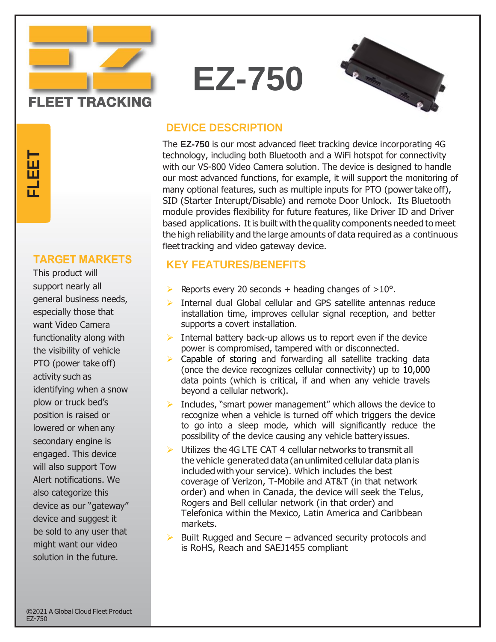

**T**

This product will support nearly all general business needs, especially those that want Video Camera functionality along with the visibility of vehicle PTO (power take off) activity such as identifying when a snow plow or truck bed's position is raised or lowered or when any secondary engine is engaged. This device will also support Tow Alert notifications. We also categorize this device as our "gateway" device and suggest it be sold to any user that might want our video **TARGET MARKET**<br>This product will<br>support nearly all<br>general business need<br>especially those that<br>want Video Camera<br>functionality along with<br>the visibility of vehicle<br>PTO (power take off)<br>activity such as<br>identifying when a

### **DEVICE DESCRIPTION**

The **EZ-750** is our most advanced fleet tracking device incorporating 4G technology, including both Bluetooth and a WiFi hotspot for connectivity with our VS-800 Video Camera solution. The device is designed to handle our most advanced functions, for example, it will support the monitoring of many optional features, such as multiple inputs for PTO (power take off), SID (Starter Interupt/Disable) and remote Door Unlock. Its Bluetooth module provides flexibility for future features, like Driver ID and Driver based applications. Itis built with the quality components needed to meet the high reliability and the large amounts of data required as a continuous fleet tracking and video gateway device.

#### **KEY FEATURES/BENEFITS**

- Reports every 20 seconds + heading changes of  $>10^{\circ}$ .
- $\triangleright$  Internal dual Global cellular and GPS satellite antennas reduce installation time, improves cellular signal reception, and better supports a covert installation.
- $\triangleright$  Internal battery back-up allows us to report even if the device power is compromised, tampered with or disconnected.
- ➢ Capable of storing and forwarding all satellite tracking data (once the device recognizes cellular connectivity) up to 10,000 data points (which is critical, if and when any vehicle travels beyond a cellular network).
- Includes, "smart power management" which allows the device to recognize when a vehicle is turned off which triggers the device to go into a sleep mode, which will significantly reduce the possibility of the device causing any vehicle batteryissues.
- $\triangleright$  Utilizes the 4G LTE CAT 4 cellular networks to transmit all the vehicle generated data (anunlimited cellular data planis included with your service). Which includes the best coverage of Verizon, T-Mobile and AT&T (in that network order) and when in Canada, the device will seek the Telus, Rogers and Bell cellular network (in that order) and Telefonica within the Mexico, Latin America and Caribbean markets.
- $\triangleright$  Built Rugged and Secure advanced security protocols and is RoHS, Reach and SAEJ1455 compliant

**FLEET TRACKING** 

# **EZ-750**